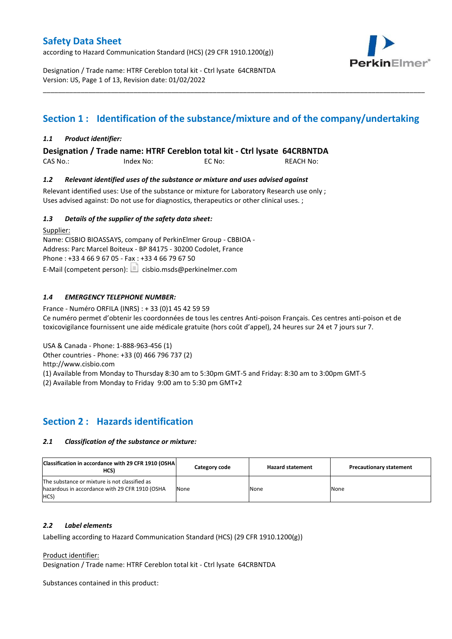according to Hazard Communication Standard (HCS) (29 CFR 1910.1200(g))



Designation / Trade name: HTRF Cereblon total kit - Ctrl lysate 64CRBNTDA Version: US, Page 1 of 13, Revision date: 01/02/2022

# **Section 1 : Identification of the substance/mixture and of the company/undertaking**

\_\_\_\_\_\_\_\_\_\_\_\_\_\_\_\_\_\_\_\_\_\_\_\_\_\_\_\_\_\_\_\_\_\_\_\_\_\_\_\_\_\_\_\_\_\_\_\_\_\_\_\_\_\_\_\_\_\_\_\_\_\_\_\_\_\_\_\_\_\_\_\_\_\_\_\_\_\_\_\_\_\_\_\_\_\_\_\_\_\_\_\_\_\_\_\_\_\_\_\_\_

## *1.1 Product identifier:*

**Designation / Trade name: HTRF Cereblon total kit - Ctrl lysate 64CRBNTDA** 

CAS No.: Index No: EC No: REACH No:

## *1.2 Relevant identified uses of the substance or mixture and uses advised against*

Relevant identified uses: Use of the substance or mixture for Laboratory Research use only ; Uses advised against: Do not use for diagnostics, therapeutics or other clinical uses. ;

## *1.3 Details of the supplier of the safety data sheet:*

Supplier: Name: CISBIO BIOASSAYS, company of PerkinElmer Group - CBBIOA - Address: Parc Marcel Boiteux - BP 84175 - 30200 Codolet, France Phone : +33 4 66 9 67 05 - Fax : +33 4 66 79 67 50 E-Mail (competent person):  $\Box$  cisbio.msds@perkinelmer.com

# *1.4 EMERGENCY TELEPHONE NUMBER:*

France - Numéro ORFILA (INRS) : + 33 (0)1 45 42 59 59 Ce numéro permet d'obtenir les coordonnées de tous les centres Anti-poison Français. Ces centres anti-poison et de toxicovigilance fournissent une aide médicale gratuite (hors coût d'appel), 24 heures sur 24 et 7 jours sur 7.

USA & Canada - Phone: 1-888-963-456 (1)

Other countries - Phone: +33 (0) 466 796 737 (2)

http://www.cisbio.com

(1) Available from Monday to Thursday 8:30 am to 5:30pm GMT-5 and Friday: 8:30 am to 3:00pm GMT-5

(2) Available from Monday to Friday 9:00 am to 5:30 pm GMT+2

# **Section 2 : Hazards identification**

## *2.1 Classification of the substance or mixture:*

| Classification in accordance with 29 CFR 1910 (OSHA)<br>HCS)                                            | Category code | <b>Hazard statement</b> | <b>Precautionary statement</b> |
|---------------------------------------------------------------------------------------------------------|---------------|-------------------------|--------------------------------|
| The substance or mixture is not classified as<br>hazardous in accordance with 29 CFR 1910 (OSHA<br>HCS) | None          | None                    | None                           |

## *2.2 Label elements*

Labelling according to Hazard Communication Standard (HCS) (29 CFR 1910.1200(g))

Product identifier:

Designation / Trade name: HTRF Cereblon total kit - Ctrl lysate 64CRBNTDA

Substances contained in this product: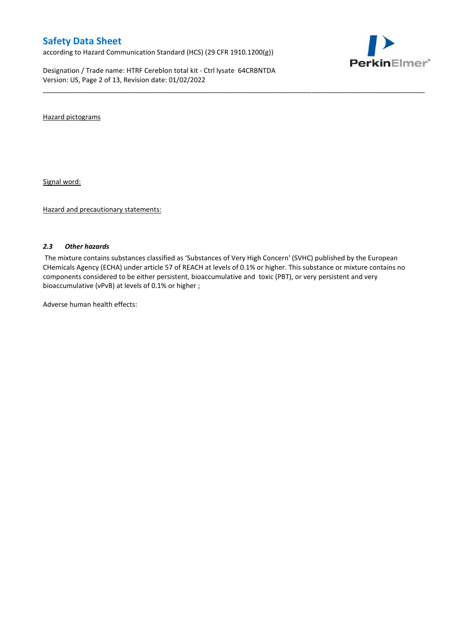according to Hazard Communication Standard (HCS) (29 CFR 1910.1200(g))

Designation / Trade name: HTRF Cereblon total kit - Ctrl lysate 64CRBNTDA Version: US, Page 2 of 13, Revision date: 01/02/2022



Hazard pictograms

Signal word:

Hazard and precautionary statements:

#### *2.3 Other hazards*

The mixture contains substances classified as 'Substances of Very High Concern' (SVHC) published by the European CHemicals Agency (ECHA) under article 57 of REACH at levels of 0.1% or higher. This substance or mixture contains no components considered to be either persistent, bioaccumulative and toxic (PBT), or very persistent and very bioaccumulative (vPvB) at levels of 0.1% or higher ;

\_\_\_\_\_\_\_\_\_\_\_\_\_\_\_\_\_\_\_\_\_\_\_\_\_\_\_\_\_\_\_\_\_\_\_\_\_\_\_\_\_\_\_\_\_\_\_\_\_\_\_\_\_\_\_\_\_\_\_\_\_\_\_\_\_\_\_\_\_\_\_\_\_\_\_\_\_\_\_\_\_\_\_\_\_\_\_\_\_\_\_\_\_\_\_\_\_\_\_\_\_

Adverse human health effects: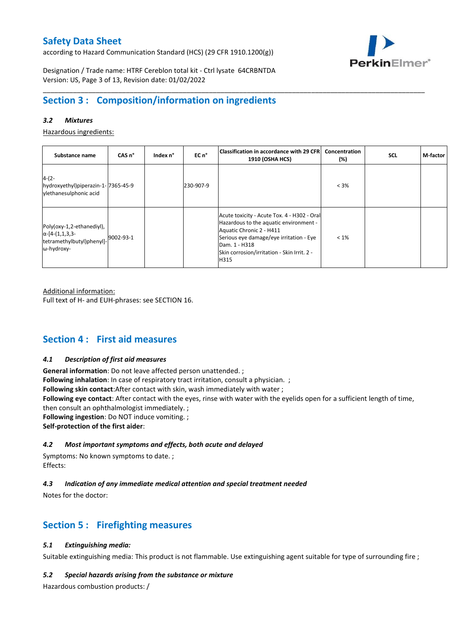according to Hazard Communication Standard (HCS) (29 CFR 1910.1200(g))



Designation / Trade name: HTRF Cereblon total kit - Ctrl lysate 64CRBNTDA Version: US, Page 3 of 13, Revision date: 01/02/2022

# **Section 3 : Composition/information on ingredients**

## *3.2 Mixtures*

Hazardous ingredients:

| Substance name                                                                                 | CAS <sub>n</sub> ° | Index n° | EC n°     | Classification in accordance with 29 CFR <br>1910 (OSHA HCS)                                                                                                                                                                         | Concentration<br>(%) | <b>SCL</b> | M-factor |
|------------------------------------------------------------------------------------------------|--------------------|----------|-----------|--------------------------------------------------------------------------------------------------------------------------------------------------------------------------------------------------------------------------------------|----------------------|------------|----------|
| $4-(2-$<br>hydroxyethyl)piperazin-1-7365-45-9<br>ylethanesulphonic acid                        |                    |          | 230-907-9 |                                                                                                                                                                                                                                      | $< 3\%$              |            |          |
| Poly(oxy-1,2-ethanediyl),<br>$\alpha$ -[4-(1,1,3,3-<br>tetramethylbutyl)phenyl]-<br>ω-hydroxy- | 9002-93-1          |          |           | Acute toxicity - Acute Tox. 4 - H302 - Oral<br>Hazardous to the aquatic environment -<br>Aquatic Chronic 2 - H411<br>Serious eye damage/eye irritation - Eye<br>Dam. 1 - H318<br>Skin corrosion/irritation - Skin Irrit. 2 -<br>H315 | $< 1\%$              |            |          |

\_\_\_\_\_\_\_\_\_\_\_\_\_\_\_\_\_\_\_\_\_\_\_\_\_\_\_\_\_\_\_\_\_\_\_\_\_\_\_\_\_\_\_\_\_\_\_\_\_\_\_\_\_\_\_\_\_\_\_\_\_\_\_\_\_\_\_\_\_\_\_\_\_\_\_\_\_\_\_\_\_\_\_\_\_\_\_\_\_\_\_\_\_\_\_\_\_\_\_\_\_

Additional information:

Full text of H- and EUH-phrases: see SECTION 16.

# **Section 4 : First aid measures**

#### *4.1 Description of first aid measures*

**General information**: Do not leave affected person unattended. ; **Following inhalation**: In case of respiratory tract irritation, consult a physician. ; **Following skin contact**:After contact with skin, wash immediately with water ; **Following eye contact**: After contact with the eyes, rinse with water with the eyelids open for a sufficient length of time, then consult an ophthalmologist immediately. ; **Following ingestion**: Do NOT induce vomiting. ; **Self-protection of the first aider**:

### *4.2 Most important symptoms and effects, both acute and delayed*

Symptoms: No known symptoms to date. ; Effects:

## *4.3 Indication of any immediate medical attention and special treatment needed*

Notes for the doctor:

# **Section 5 : Firefighting measures**

## *5.1 Extinguishing media:*

Suitable extinguishing media: This product is not flammable. Use extinguishing agent suitable for type of surrounding fire ;

#### *5.2 Special hazards arising from the substance or mixture*

Hazardous combustion products: /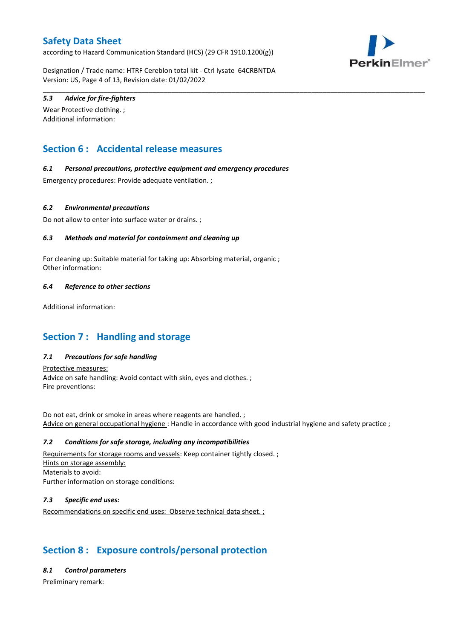according to Hazard Communication Standard (HCS) (29 CFR 1910.1200(g))



Designation / Trade name: HTRF Cereblon total kit - Ctrl lysate 64CRBNTDA Version: US, Page 4 of 13, Revision date: 01/02/2022

\_\_\_\_\_\_\_\_\_\_\_\_\_\_\_\_\_\_\_\_\_\_\_\_\_\_\_\_\_\_\_\_\_\_\_\_\_\_\_\_\_\_\_\_\_\_\_\_\_\_\_\_\_\_\_\_\_\_\_\_\_\_\_\_\_\_\_\_\_\_\_\_\_\_\_\_\_\_\_\_\_\_\_\_\_\_\_\_\_\_\_\_\_\_\_\_\_\_\_\_\_

## *5.3 Advice for fire-fighters*

Wear Protective clothing. ; Additional information:

# **Section 6 : Accidental release measures**

### *6.1 Personal precautions, protective equipment and emergency procedures*

Emergency procedures: Provide adequate ventilation. ;

### *6.2 Environmental precautions*

Do not allow to enter into surface water or drains. ;

### *6.3 Methods and material for containment and cleaning up*

For cleaning up: Suitable material for taking up: Absorbing material, organic ; Other information:

### *6.4 Reference to other sections*

Additional information:

# **Section 7 : Handling and storage**

## *7.1 Precautions for safe handling*

Protective measures: Advice on safe handling: Avoid contact with skin, eyes and clothes. ; Fire preventions:

Do not eat, drink or smoke in areas where reagents are handled. ; Advice on general occupational hygiene : Handle in accordance with good industrial hygiene and safety practice ;

#### *7.2 Conditions for safe storage, including any incompatibilities*

Requirements for storage rooms and vessels: Keep container tightly closed. ; Hints on storage assembly: Materials to avoid: Further information on storage conditions:

## *7.3 Specific end uses:*

Recommendations on specific end uses: Observe technical data sheet. ;

# **Section 8 : Exposure controls/personal protection**

#### *8.1 Control parameters*

Preliminary remark: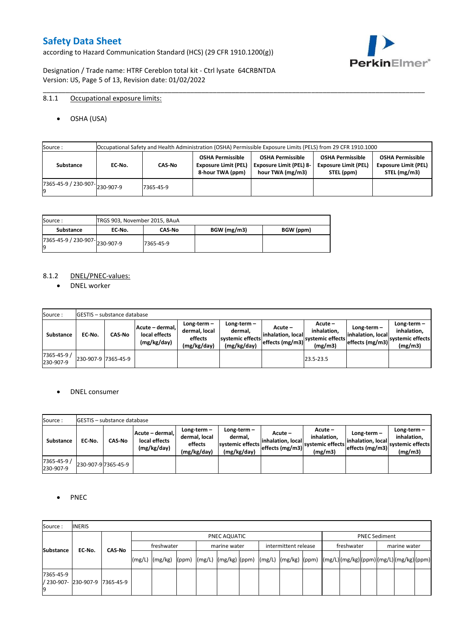according to Hazard Communication Standard (HCS) (29 CFR 1910.1200(g))



Designation / Trade name: HTRF Cereblon total kit - Ctrl lysate 64CRBNTDA Version: US, Page 5 of 13, Revision date: 01/02/2022

# 8.1.1 Occupational exposure limits:

OSHA (USA)

| Source : |           |                                      |           |                                                                            | Occupational Safety and Health Administration (OSHA) Permissible Exposure Limits (PELS) from 29 CFR 1910.1000 |                                                                      |                                                                        |
|----------|-----------|--------------------------------------|-----------|----------------------------------------------------------------------------|---------------------------------------------------------------------------------------------------------------|----------------------------------------------------------------------|------------------------------------------------------------------------|
|          | Substance | EC No.                               | CAS-No    | <b>OSHA Permissible</b><br><b>Exposure Limit (PEL)</b><br>8-hour TWA (ppm) | <b>OSHA Permissible</b><br><b>Exposure Limit (PEL) 8-</b><br>hour TWA (mg/m3)                                 | <b>OSHA Permissible</b><br><b>Exposure Limit (PEL)</b><br>STEL (ppm) | <b>OSHA Permissible</b><br><b>Exposure Limit (PEL)</b><br>STEL (mg/m3) |
|          |           | $(7365-45-9) / 230-907$ $ 230-907-9$ | 7365-45-9 |                                                                            |                                                                                                               |                                                                      |                                                                        |

\_\_\_\_\_\_\_\_\_\_\_\_\_\_\_\_\_\_\_\_\_\_\_\_\_\_\_\_\_\_\_\_\_\_\_\_\_\_\_\_\_\_\_\_\_\_\_\_\_\_\_\_\_\_\_\_\_\_\_\_\_\_\_\_\_\_\_\_\_\_\_\_\_\_\_\_\_\_\_\_\_\_\_\_\_\_\_\_\_\_\_\_\_\_\_\_\_\_\_\_\_

| Source :                       | TRGS 903, November 2015, BAuA |               |             |           |
|--------------------------------|-------------------------------|---------------|-------------|-----------|
| Substance                      | EC No.                        | <b>CAS-No</b> | BGW (mg/m3) | BGW (ppm) |
| ./365-45-9 / 230-907-230-907-9 |                               | 7365-45-9     |             |           |

### 8.1.2 DNEL/PNEC-values:

• DNEL worker

| Source:                  |                     | <b>IGESTIS – substance database</b> |                                                 |                                                          |                                                             |                                                  |                                                       |                                                          |                                                             |
|--------------------------|---------------------|-------------------------------------|-------------------------------------------------|----------------------------------------------------------|-------------------------------------------------------------|--------------------------------------------------|-------------------------------------------------------|----------------------------------------------------------|-------------------------------------------------------------|
| Substance                | EC-No.              | <b>CAS-No</b>                       | Acute – dermal,<br>local effects<br>(mg/kg/day) | Long-term $-$<br>dermal, local<br>effects<br>(mg/kg/day) | Long-term $-$<br>dermal,<br>systemic effects<br>(mg/kg/day) | Acute –<br>linhalation. local<br>effects (mg/m3) | Acute -<br>inhalation.<br>systemic effects<br>(mg/m3) | Long-term $-$<br>linhalation. local<br>effects (mg/m3) ` | $Long-term -$<br>inhalation.<br>systemic effects<br>(mg/m3) |
| 7365-45-9 /<br>230-907-9 | 230-907-9 7365-45-9 |                                     |                                                 |                                                          |                                                             |                                                  | 23.5-23.5                                             |                                                          |                                                             |

### DNEL consumer

| Source:                  |        | <b>IGESTIS – substance database</b> |                                                 |                                                          |                                                             |                                                        |                                                       |                                                        |                                                             |
|--------------------------|--------|-------------------------------------|-------------------------------------------------|----------------------------------------------------------|-------------------------------------------------------------|--------------------------------------------------------|-------------------------------------------------------|--------------------------------------------------------|-------------------------------------------------------------|
| Substance                | EC No. | CAS-No                              | Acute - dermal,<br>local effects<br>(mg/kg/day) | Long-term $-$<br>dermal, local<br>effects<br>(mg/kg/day) | $Long-term -$<br>dermal.<br>systemic effects<br>(mg/kg/day) | Acute –<br>linhalation. local<br>$effects$ (mg/m3) $ $ | Acute -<br>inhalation.<br>systemic effects<br>(mg/m3) | $Long-term -$<br>linhalation. local<br>effects (mg/m3) | Long-term $-$<br>inhalation.<br>systemic effects<br>(mg/m3) |
| 7365-45-9 /<br>230-907-9 |        | 230-907-9 7365-45-9                 |                                                 |                                                          |                                                             |                                                        |                                                       |                                                        |                                                             |

### • PNEC

| Source:                                 | <b>INERIS</b> |               |  |                                                                                                                                                                                                                                                                                                                                                                                                                                                                                               |  |  |              |  |                      |  |            |                      |  |              |  |  |  |
|-----------------------------------------|---------------|---------------|--|-----------------------------------------------------------------------------------------------------------------------------------------------------------------------------------------------------------------------------------------------------------------------------------------------------------------------------------------------------------------------------------------------------------------------------------------------------------------------------------------------|--|--|--------------|--|----------------------|--|------------|----------------------|--|--------------|--|--|--|
|                                         |               |               |  | PNEC AQUATIC                                                                                                                                                                                                                                                                                                                                                                                                                                                                                  |  |  |              |  |                      |  |            | <b>PNEC Sediment</b> |  |              |  |  |  |
|                                         | EC-No.        |               |  | freshwater                                                                                                                                                                                                                                                                                                                                                                                                                                                                                    |  |  | marine water |  | intermittent release |  | freshwater |                      |  | marine water |  |  |  |
| <b>Substance</b>                        |               | <b>CAS No</b> |  | $\lceil (mg/L) \rceil \cdot (mg/kg) \cdot (ppm) \cdot (mg/L) \cdot (mg/kg) \cdot (ppm) \cdot (mg/L) \cdot (mg/kg) \cdot (ppm) \cdot (mg/L) \cdot (mg/L) \cdot (mg/L) \cdot (mg/L) \cdot (mg/L) \cdot (mg/L) \cdot (mg/L) \cdot (mg/L) \cdot (mg/L) \cdot (mg/L) \cdot (mg/L) \cdot (mg/L) \cdot (mg/L) \cdot (mg/L) \cdot (mg/L) \cdot (mg/L) \cdot (gm/L) \cdot (gm/L) \cdot (gm/L) \cdot (mg/L) \cdot (mg/L) \cdot (gm/L) \cdot (gm/L) \cdot (gm/L) \cdot (gm/L) \cdot (gm/L) \cdot (gm/L)$ |  |  |              |  |                      |  |            |                      |  |              |  |  |  |
| 7365-45-9<br>/ 230-907- 230-907-9<br>19 |               | 7365-45-9     |  |                                                                                                                                                                                                                                                                                                                                                                                                                                                                                               |  |  |              |  |                      |  |            |                      |  |              |  |  |  |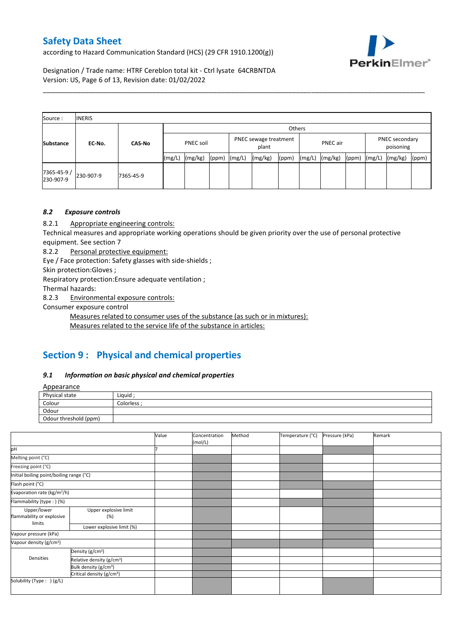according to Hazard Communication Standard (HCS) (29 CFR 1910.1200(g))



Designation / Trade name: HTRF Cereblon total kit - Ctrl lysate 64CRBNTDA Version: US, Page 6 of 13, Revision date: 01/02/2022

| Source:                  | <b>INERIS</b> |               |        |                                             |       |        |          |       |        |                             |       |        |         |       |
|--------------------------|---------------|---------------|--------|---------------------------------------------|-------|--------|----------|-------|--------|-----------------------------|-------|--------|---------|-------|
|                          |               |               |        | Others                                      |       |        |          |       |        |                             |       |        |         |       |
| <b>Substance</b>         | EC-No.        | <b>CAS-No</b> |        | PNEC sewage treatment<br>PNEC soil<br>plant |       |        | PNEC air |       |        | PNEC secondary<br>poisoning |       |        |         |       |
|                          |               |               | (mg/L) | (mg/kg)                                     | (ppm) | (mg/L) | (mg/kg)  | (ppm) | (mg/L) | (mg/kg)                     | (ppm) | (mg/L) | (mg/kg) | (ppm) |
| 7365-45-9 /<br>230-907-9 | 230-907-9     | 7365-45-9     |        |                                             |       |        |          |       |        |                             |       |        |         |       |

\_\_\_\_\_\_\_\_\_\_\_\_\_\_\_\_\_\_\_\_\_\_\_\_\_\_\_\_\_\_\_\_\_\_\_\_\_\_\_\_\_\_\_\_\_\_\_\_\_\_\_\_\_\_\_\_\_\_\_\_\_\_\_\_\_\_\_\_\_\_\_\_\_\_\_\_\_\_\_\_\_\_\_\_\_\_\_\_\_\_\_\_\_\_\_\_\_\_\_\_\_

# *8.2 Exposure controls*

8.2.1 Appropriate engineering controls:

Technical measures and appropriate working operations should be given priority over the use of personal protective equipment. See section 7

8.2.2 Personal protective equipment:

Eye / Face protection: Safety glasses with side-shields ;

Skin protection:Gloves ;

Respiratory protection:Ensure adequate ventilation ;

Thermal hazards:

8.2.3 Environmental exposure controls:

Consumer exposure control

Measures related to consumer uses of the substance (as such or in mixtures):

Measures related to the service life of the substance in articles:

# **Section 9 : Physical and chemical properties**

#### *9.1 Information on basic physical and chemical properties*

**Annearance** 

| <b>Appearance</b>     |             |
|-----------------------|-------------|
| Physical state        | Liquid      |
| Colour                | Colorless : |
| Odour                 |             |
| Odour threshold (ppm) |             |

|                                          |                                       | Value | Concentration<br>(mol/L) | Method | Temperature (°C) | Pressure (kPa) | Remark |
|------------------------------------------|---------------------------------------|-------|--------------------------|--------|------------------|----------------|--------|
| pH                                       |                                       |       |                          |        |                  |                |        |
| Melting point (°C)                       |                                       |       |                          |        |                  |                |        |
| Freezing point (°C)                      |                                       |       |                          |        |                  |                |        |
| Initial boiling point/boiling range (°C) |                                       |       |                          |        |                  |                |        |
| Flash point (°C)                         |                                       |       |                          |        |                  |                |        |
| Evaporation rate (kg/m <sup>2</sup> /h)  |                                       |       |                          |        |                  |                |        |
| Flammability (type:) (%)                 |                                       |       |                          |        |                  |                |        |
| Upper/lower<br>flammability or explosive | Upper explosive limit<br>(%)          |       |                          |        |                  |                |        |
| limits                                   | Lower explosive limit (%)             |       |                          |        |                  |                |        |
| Vapour pressure (kPa)                    |                                       |       |                          |        |                  |                |        |
| Vapour density (g/cm <sup>3</sup> )      |                                       |       |                          |        |                  |                |        |
|                                          | Density (g/cm <sup>3</sup> )          |       |                          |        |                  |                |        |
| Densities                                | Relative density (g/cm <sup>3</sup> ) |       |                          |        |                  |                |        |
|                                          | Bulk density (g/cm <sup>3</sup> )     |       |                          |        |                  |                |        |
|                                          | Critical density (g/cm <sup>3</sup> ) |       |                          |        |                  |                |        |
| Solubility (Type: ) (g/L)                |                                       |       |                          |        |                  |                |        |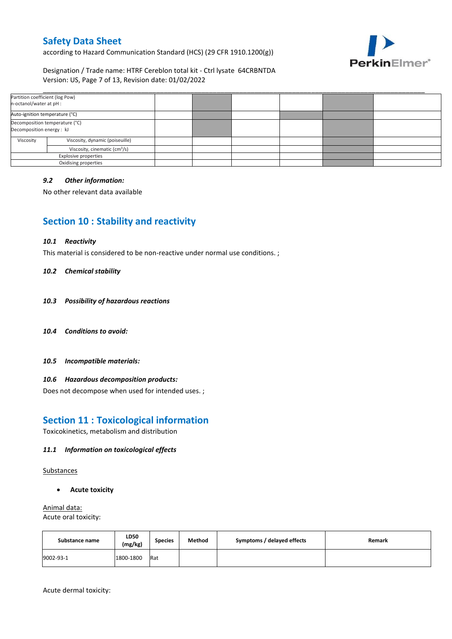according to Hazard Communication Standard (HCS) (29 CFR 1910.1200(g))



## Designation / Trade name: HTRF Cereblon total kit - Ctrl lysate 64CRBNTDA Version: US, Page 7 of 13, Revision date: 01/02/2022

| Partition coefficient (log Pow)<br>n-octanol/water at pH :  |                      |  |  |  |
|-------------------------------------------------------------|----------------------|--|--|--|
| Auto-ignition temperature (°C)                              |                      |  |  |  |
| Decomposition temperature (°C)<br>Decomposition energy : kJ |                      |  |  |  |
| Viscosity, dynamic (poiseuille)<br>Viscosity                |                      |  |  |  |
| Viscosity, cinematic (cm <sup>3</sup> /s)                   |                      |  |  |  |
| <b>Explosive properties</b>                                 |                      |  |  |  |
|                                                             | Oxidising properties |  |  |  |

### *9.2 Other information:*

No other relevant data available

# **Section 10 : Stability and reactivity**

#### *10.1 Reactivity*

This material is considered to be non-reactive under normal use conditions. ;

#### *10.2 Chemical stability*

- *10.3 Possibility of hazardous reactions*
- *10.4 Conditions to avoid:*
- *10.5 Incompatible materials:*

### *10.6 Hazardous decomposition products:*

Does not decompose when used for intended uses. ;

# **Section 11 : Toxicological information**

Toxicokinetics, metabolism and distribution

### *11.1 Information on toxicological effects*

Substances

**Acute toxicity**

Animal data: Acute oral toxicity:

| Substance name | LD50<br>(mg/kg) | <b>Species</b> | Method | Symptoms / delayed effects | Remark |
|----------------|-----------------|----------------|--------|----------------------------|--------|
| 9002-93-1      | 1800-1800       | Rat            |        |                            |        |

Acute dermal toxicity: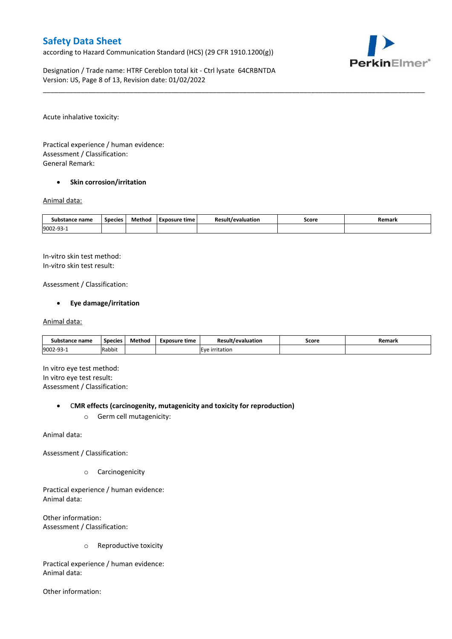according to Hazard Communication Standard (HCS) (29 CFR 1910.1200(g))



Designation / Trade name: HTRF Cereblon total kit - Ctrl lysate 64CRBNTDA Version: US, Page 8 of 13, Revision date: 01/02/2022

Acute inhalative toxicity:

Practical experience / human evidence: Assessment / Classification: General Remark:

#### **•** Skin corrosion/irritation

#### Animal data:

| Substance name         | <b>Species</b> | Method | Exposure time | <b>Result/evaluation</b> | Score | Remark |
|------------------------|----------------|--------|---------------|--------------------------|-------|--------|
| 9002-93-<br><u>۔ ت</u> |                |        |               |                          |       |        |

\_\_\_\_\_\_\_\_\_\_\_\_\_\_\_\_\_\_\_\_\_\_\_\_\_\_\_\_\_\_\_\_\_\_\_\_\_\_\_\_\_\_\_\_\_\_\_\_\_\_\_\_\_\_\_\_\_\_\_\_\_\_\_\_\_\_\_\_\_\_\_\_\_\_\_\_\_\_\_\_\_\_\_\_\_\_\_\_\_\_\_\_\_\_\_\_\_\_\_\_\_

In-vitro skin test method: In-vitro skin test result:

Assessment / Classification:

### **Eye damage/irritation**

#### Animal data:

| Substance name   | <b>Species</b> | Method | Exposure time | <b>Result/evaluation</b> | Score | Remark |
|------------------|----------------|--------|---------------|--------------------------|-------|--------|
| 9002-93-<br>⊥−∟ت | Rabbit         |        |               | <b>IEve irritation</b>   |       |        |

In vitro eye test method: In vitro eye test result: Assessment / Classification:

#### C**MR effects (carcinogenity, mutagenicity and toxicity for reproduction)**

o Germ cell mutagenicity:

Animal data:

Assessment / Classification:

o Carcinogenicity

Practical experience / human evidence: Animal data:

Other information: Assessment / Classification:

o Reproductive toxicity

Practical experience / human evidence: Animal data:

Other information: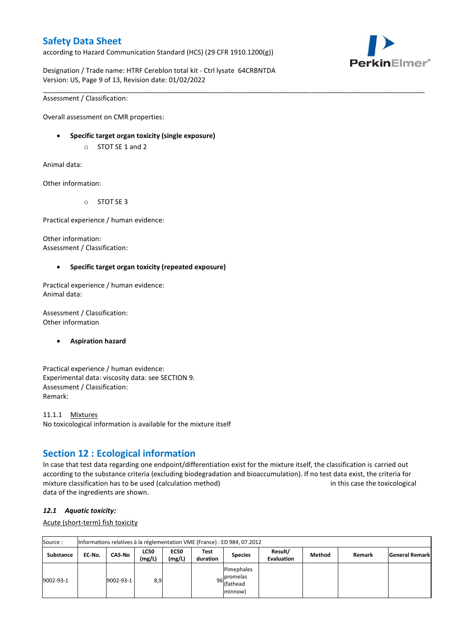according to Hazard Communication Standard (HCS) (29 CFR 1910.1200(g))



Designation / Trade name: HTRF Cereblon total kit - Ctrl lysate 64CRBNTDA Version: US, Page 9 of 13, Revision date: 01/02/2022

\_\_\_\_\_\_\_\_\_\_\_\_\_\_\_\_\_\_\_\_\_\_\_\_\_\_\_\_\_\_\_\_\_\_\_\_\_\_\_\_\_\_\_\_\_\_\_\_\_\_\_\_\_\_\_\_\_\_\_\_\_\_\_\_\_\_\_\_\_\_\_\_\_\_\_\_\_\_\_\_\_\_\_\_\_\_\_\_\_\_\_\_\_\_\_\_\_\_\_\_\_

Assessment / Classification:

Overall assessment on CMR properties:

- **Specific target organ toxicity (single exposure)**
	- o STOT SE 1 and 2

Animal data:

Other information:

o STOT SE 3

Practical experience / human evidence:

Other information: Assessment / Classification:

### **Specific target organ toxicity (repeated exposure)**

Practical experience / human evidence: Animal data:

Assessment / Classification: Other information

#### **Aspiration hazard**

Practical experience / human evidence: Experimental data: viscosity data: see SECTION 9. Assessment / Classification: Remark:

11.1.1 Mixtures No toxicological information is available for the mixture itself

# **Section 12 : Ecological information**

In case that test data regarding one endpoint/differentiation exist for the mixture itself, the classification is carried out according to the substance criteria (excluding biodegradation and bioaccumulation). If no test data exist, the criteria for mixture classification has to be used (calculation method) in this case the toxicological data of the ingredients are shown.

#### *12.1 Aquatic toxicity:*

Acute (short-term) fish toxicity

| Source:          |        | Informations relatives à la réglementation VME (France) : ED 984, 07.2012 |                       |                       |                  |                                                               |                              |        |        |                       |  |  |  |
|------------------|--------|---------------------------------------------------------------------------|-----------------------|-----------------------|------------------|---------------------------------------------------------------|------------------------------|--------|--------|-----------------------|--|--|--|
| <b>Substance</b> | EC No. | <b>CAS-No</b>                                                             | <b>LC50</b><br>(mg/L) | <b>EC50</b><br>(mg/L) | Test<br>duration | <b>Species</b>                                                | Result/<br><b>Evaluation</b> | Method | Remark | <b>General Remark</b> |  |  |  |
| 9002-93-1        |        | 9002-93-1                                                                 | 8,9                   |                       |                  | Pimephales<br>. Ipromelas<br>96 riving<br>(fathead<br>minnow) |                              |        |        |                       |  |  |  |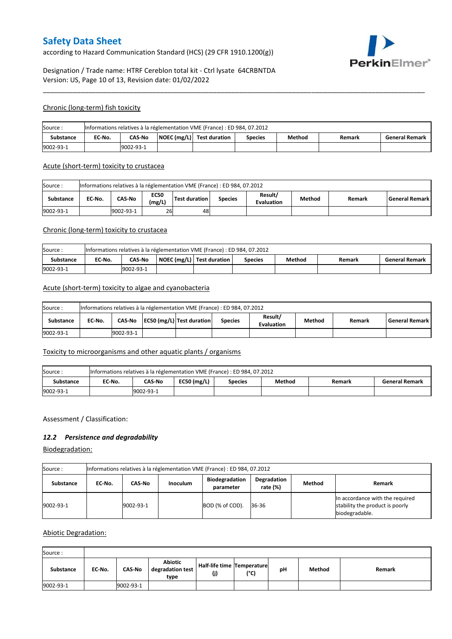according to Hazard Communication Standard (HCS) (29 CFR 1910.1200(g))



# Designation / Trade name: HTRF Cereblon total kit - Ctrl lysate 64CRBNTDA Version: US, Page 10 of 13, Revision date: 01/02/2022

#### Chronic (long-term) fish toxicity

| Source:   | Informations relatives à la réglementation VME (France) : ED 984, 07.2012 |                                                                                                            |  |  |  |  |  |  |  |  |  |
|-----------|---------------------------------------------------------------------------|------------------------------------------------------------------------------------------------------------|--|--|--|--|--|--|--|--|--|
| Substance | EC No.                                                                    | $\vert$ NOEC (mg/L) Test duration<br><b>CAS-No</b><br>Method<br><b>General Remark</b><br>Species<br>Remark |  |  |  |  |  |  |  |  |  |
| 9002-93-1 | 9002-93-1                                                                 |                                                                                                            |  |  |  |  |  |  |  |  |  |

\_\_\_\_\_\_\_\_\_\_\_\_\_\_\_\_\_\_\_\_\_\_\_\_\_\_\_\_\_\_\_\_\_\_\_\_\_\_\_\_\_\_\_\_\_\_\_\_\_\_\_\_\_\_\_\_\_\_\_\_\_\_\_\_\_\_\_\_\_\_\_\_\_\_\_\_\_\_\_\_\_\_\_\_\_\_\_\_\_\_\_\_\_\_\_\_\_\_\_\_\_

#### Acute (short-term) toxicity to crustacea

| Informations relatives à la réglementation VME (France) : ED 984, 07.2012<br>Source: |                                                                                                                                                 |           |    |    |  |  |  |  |  |  |  |
|--------------------------------------------------------------------------------------|-------------------------------------------------------------------------------------------------------------------------------------------------|-----------|----|----|--|--|--|--|--|--|--|
| <b>Substance</b>                                                                     | Result/<br><b>EC50</b><br>CAS-No<br>Test duration<br>EC No.<br>Method<br>l General Remark l<br><b>Species</b><br>Remark<br>(mg/L)<br>Evaluation |           |    |    |  |  |  |  |  |  |  |
| 9002-93-1                                                                            |                                                                                                                                                 | 9002-93-1 | 26 | 48 |  |  |  |  |  |  |  |

## Chronic (long-term) toxicity to crustacea

| Source:   | Informations relatives à la réglementation VME (France) : ED 984, 07.2012 |                                                                                                             |  |  |  |  |  |  |  |  |  |  |
|-----------|---------------------------------------------------------------------------|-------------------------------------------------------------------------------------------------------------|--|--|--|--|--|--|--|--|--|--|
| Substance | EC No.                                                                    | NOEC (mg/L)   Test duration<br>Method<br><b>CAS-No</b><br><b>General Remark</b><br><b>Species</b><br>Remark |  |  |  |  |  |  |  |  |  |  |
| 9002-93-1 | 9002-93-1                                                                 |                                                                                                             |  |  |  |  |  |  |  |  |  |  |

### Acute (short-term) toxicity to algae and cyanobacteria

| Informations relatives à la réglementation VME (France) : ED 984, 07.2012<br>Source: |        |                                                                                                                                     |  |  |  |  |  |  |  |  |  |
|--------------------------------------------------------------------------------------|--------|-------------------------------------------------------------------------------------------------------------------------------------|--|--|--|--|--|--|--|--|--|
| <b>Substance</b>                                                                     | EC No. | Result/<br>CAS-No   EC50 (mg/L)   Test duration<br><b>General Remark</b><br>Method<br><b>Species</b><br>Remark<br><b>Evaluation</b> |  |  |  |  |  |  |  |  |  |
| 9002-93-1                                                                            |        | 9002-93-1                                                                                                                           |  |  |  |  |  |  |  |  |  |

## Toxicity to microorganisms and other aquatic plants / organisms

| Source:   | Informations relatives à la réglementation VME (France) : ED 984, 07.2012                        |  |  |  |  |  |  |  |  |  |  |
|-----------|--------------------------------------------------------------------------------------------------|--|--|--|--|--|--|--|--|--|--|
| Substance | $EC50$ (mg/L)<br>CAS-No<br>EC-No.<br>Method<br><b>General Remark</b><br>Remark<br><b>Species</b> |  |  |  |  |  |  |  |  |  |  |
| 9002-93-1 | 19002-93-1                                                                                       |  |  |  |  |  |  |  |  |  |  |

#### Assessment / Classification:

### *12.2 Persistence and degradability*

Biodegradation:

| Source :         | Informations relatives à la réglementation VME (France) : ED 984, 07.2012                                      |           |  |                 |       |  |                                                                                      |  |  |  |  |
|------------------|----------------------------------------------------------------------------------------------------------------|-----------|--|-----------------|-------|--|--------------------------------------------------------------------------------------|--|--|--|--|
| <b>Substance</b> | Degradation<br><b>Biodegradation</b><br>Method<br>CAS-No<br><b>Inoculum</b><br>EC No.<br>rate (%)<br>parameter |           |  |                 |       |  |                                                                                      |  |  |  |  |
| 9002-93-1        |                                                                                                                | 9002-93-1 |  | BOD (% of COD). | 36-36 |  | In accordance with the required<br>stability the product is poorly<br>biodegradable. |  |  |  |  |

#### Abiotic Degradation:

| Source:   |        |               |                                            |                                      |               |    |        |        |  |  |  |  |
|-----------|--------|---------------|--------------------------------------------|--------------------------------------|---------------|----|--------|--------|--|--|--|--|
| Substance | EC-No. | <b>CAS-No</b> | <b>Abiotic</b><br>degradation test<br>type | Half-life time   Temperature <br>(j) | $(^{\circ}C)$ | рH | Method | Remark |  |  |  |  |
| 9002-93-1 |        | 9002-93-1     |                                            |                                      |               |    |        |        |  |  |  |  |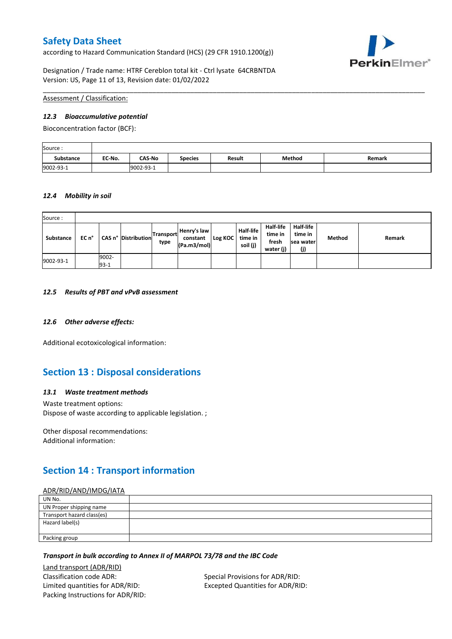according to Hazard Communication Standard (HCS) (29 CFR 1910.1200(g))



Designation / Trade name: HTRF Cereblon total kit - Ctrl lysate 64CRBNTDA Version: US, Page 11 of 13, Revision date: 01/02/2022

### Assessment / Classification:

#### *12.3 Bioaccumulative potential*

Bioconcentration factor (BCF):

| Source:          |        |               |                |               |        |        |
|------------------|--------|---------------|----------------|---------------|--------|--------|
| <b>Substance</b> | EC No. | <b>CAS-No</b> | <b>Species</b> | <b>Result</b> | Method | Remark |
| 9002-93-1        |        | 9002-93-1     |                |               |        |        |

\_\_\_\_\_\_\_\_\_\_\_\_\_\_\_\_\_\_\_\_\_\_\_\_\_\_\_\_\_\_\_\_\_\_\_\_\_\_\_\_\_\_\_\_\_\_\_\_\_\_\_\_\_\_\_\_\_\_\_\_\_\_\_\_\_\_\_\_\_\_\_\_\_\_\_\_\_\_\_\_\_\_\_\_\_\_\_\_\_\_\_\_\_\_\_\_\_\_\_\_\_

#### *12.4 Mobility in soil*

| Source:   |       |                 |                     |                   |                                        |         |                                         |                                                   |                                           |        |        |
|-----------|-------|-----------------|---------------------|-------------------|----------------------------------------|---------|-----------------------------------------|---------------------------------------------------|-------------------------------------------|--------|--------|
| Substance | EC n° |                 | CAS n° Distribution | Transport<br>type | Henry's law<br>constant<br>(Pa.m3/mol) | Log KOC | <b>Half-life</b><br>time in<br>soil (j) | <b>Half-life</b><br>time in<br>fresh<br>water (j) | Half-life<br>time in<br>Isea water<br>(j) | Method | Remark |
| 9002-93-1 |       | 9002-<br>$93-1$ |                     |                   |                                        |         |                                         |                                                   |                                           |        |        |

#### *12.5 Results of PBT and vPvB assessment*

### *12.6 Other adverse effects:*

Additional ecotoxicological information:

# **Section 13 : Disposal considerations**

### *13.1 Waste treatment methods*

Waste treatment options: Dispose of waste according to applicable legislation. ;

Other disposal recommendations: Additional information:

# **Section 14 : Transport information**

### ADR/RID/AND/IMDG/IATA

| UN No.                     |  |
|----------------------------|--|
| UN Proper shipping name    |  |
| Transport hazard class(es) |  |
| Hazard label(s)            |  |
|                            |  |
| Packing group              |  |

#### *Transport in bulk according to Annex II of MARPOL 73/78 and the IBC Code*

Land transport (ADR/RID) Classification code ADR: Special Provisions for ADR/RID: Limited quantities for ADR/RID: Excepted Quantities for ADR/RID: Packing Instructions for ADR/RID: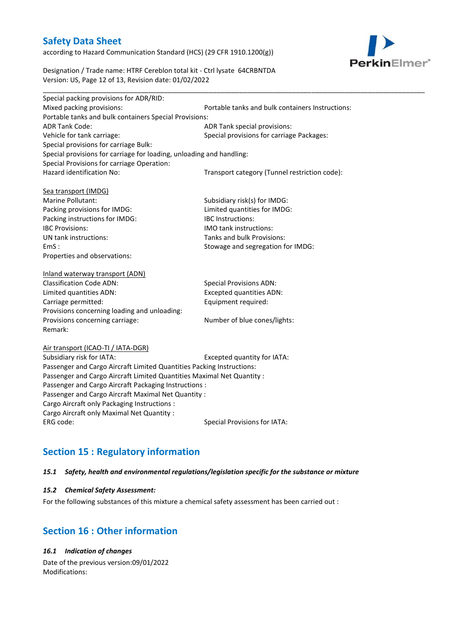according to Hazard Communication Standard (HCS) (29 CFR 1910.1200(g))



Designation / Trade name: HTRF Cereblon total kit - Ctrl lysate 64CRBNTDA Version: US, Page 12 of 13, Revision date: 01/02/2022

| Special packing provisions for ADR/RID:                              |                                                  |
|----------------------------------------------------------------------|--------------------------------------------------|
| Mixed packing provisions:                                            | Portable tanks and bulk containers Instructions: |
| Portable tanks and bulk containers Special Provisions:               |                                                  |
| <b>ADR Tank Code:</b>                                                | ADR Tank special provisions:                     |
| Vehicle for tank carriage:                                           | Special provisions for carriage Packages:        |
| Special provisions for carriage Bulk:                                |                                                  |
| Special provisions for carriage for loading, unloading and handling: |                                                  |
| Special Provisions for carriage Operation:                           |                                                  |
| Hazard identification No:                                            | Transport category (Tunnel restriction code):    |
| Sea transport (IMDG)                                                 |                                                  |
| Marine Pollutant:                                                    | Subsidiary risk(s) for IMDG:                     |
| Packing provisions for IMDG:                                         | Limited quantities for IMDG:                     |
| Packing instructions for IMDG:                                       | <b>IBC</b> Instructions:                         |
| <b>IBC Provisions:</b>                                               | IMO tank instructions:                           |
| UN tank instructions:                                                | Tanks and bulk Provisions:                       |
| EmS:                                                                 | Stowage and segregation for IMDG:                |
| Properties and observations:                                         |                                                  |
| Inland waterway transport (ADN)                                      |                                                  |
| <b>Classification Code ADN:</b>                                      | <b>Special Provisions ADN:</b>                   |
| Limited quantities ADN:                                              | <b>Excepted quantities ADN:</b>                  |
| Carriage permitted:                                                  | Equipment required:                              |
| Provisions concerning loading and unloading:                         |                                                  |
| Provisions concerning carriage:                                      | Number of blue cones/lights:                     |

Air transport (ICAO-TI / IATA-DGR)

Remark:

Subsidiary risk for IATA: Excepted quantity for IATA: Passenger and Cargo Aircraft Limited Quantities Packing Instructions: Passenger and Cargo Aircraft Limited Quantities Maximal Net Quantity : Passenger and Cargo Aircraft Packaging Instructions : Passenger and Cargo Aircraft Maximal Net Quantity : Cargo Aircraft only Packaging Instructions : Cargo Aircraft only Maximal Net Quantity : ERG code: Special Provisions for IATA:

# **Section 15 : Regulatory information**

## *15.1 Safety, health and environmental regulations/legislation specific for the substance or mixture*

#### *15.2 Chemical Safety Assessment:*

For the following substances of this mixture a chemical safety assessment has been carried out :

# **Section 16 : Other information**

## *16.1 Indication of changes*

Date of the previous version:09/01/2022 Modifications: